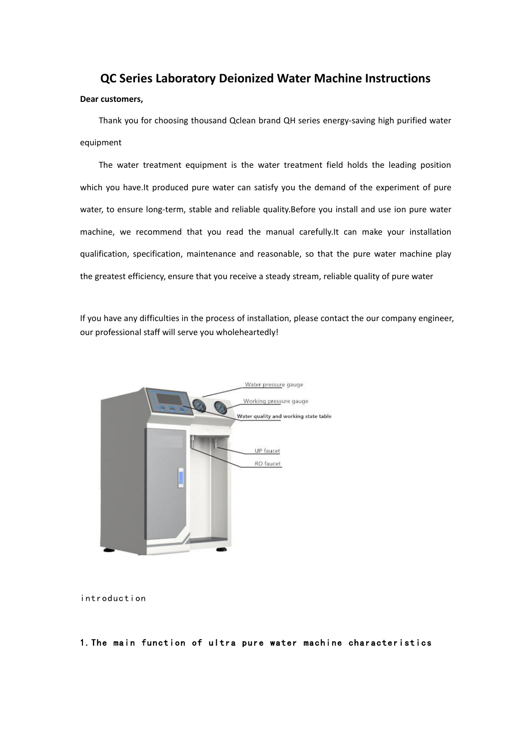# **QC Series Laboratory Deionized Water Machine Instructions**

#### **Dear customers,**

Thank you for choosing thousand Qclean brand QH series energy-saving high purified water equipment

The water treatment equipment is the water treatment field holds the leading position which you have.It produced pure water can satisfy you the demand of the experiment of pure water, to ensure long-term, stable and reliable quality.Before you install and use ion pure water machine, we recommend that you read the manual carefully.It can make your installation qualification, specification, maintenance and reasonable, so that the pure water machine play the greatest efficiency, ensure that you receive a steady stream, reliable quality of pure water

If you have any difficulties in the process of installation, please contact the our company engineer, our professional staff will serve you wholeheartedly!



introduction

# 1.The main function of ultra pure water machine characteristics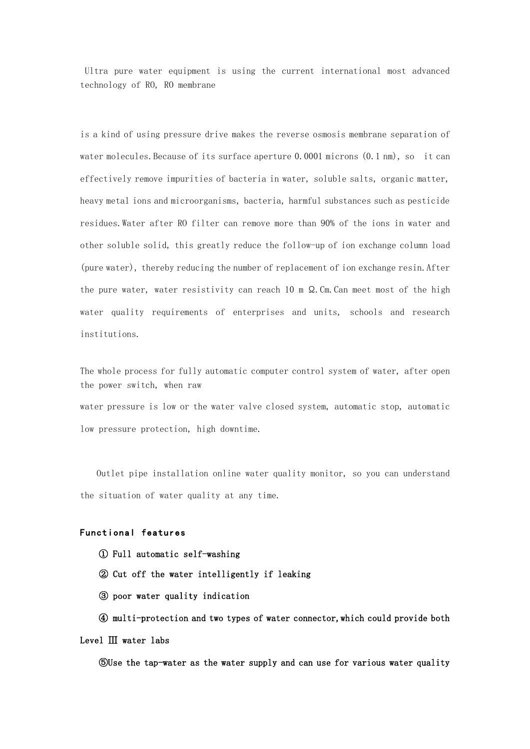Ultra pure water equipment is using the current international most advanced technology of RO, RO membrane

is a kind of using pressure drive makes the reverse osmosis membrane separation of water molecules. Because of its surface aperture 0.0001 microns (0.1 nm), so it can effectively remove impurities of bacteria in water, soluble salts, organic matter, heavy metal ions and microorganisms, bacteria, harmful substances such as pesticide residues.Water after RO filter can remove more than 90% of the ions in water and other soluble solid, this greatly reduce the follow-up of ion exchange column load (pure water), thereby reducing the number of replacement of ion exchange resin.After the pure water, water resistivity can reach 10 m  $\Omega$ . Cm. Can meet most of the high water quality requirements of enterprises and units, schools and research institutions.

The whole process for fully automatic computer control system of water, after open the power switch, when raw water pressure is low or the water valve closed system, automatic stop, automatic low pressure protection, high downtime.

Outlet pipe installation online water quality monitor, so you can understand the situation of water quality at any time.

## Functional features

- ① Full automatic self-washing
- ② Cut off the water intelligently if leaking
- ③ poor water quality indication

④ multi-protection and two types of water connector,which could provide both Level Ⅲ water labs

⑤Use the tap-water as the water supply and can use for various water quality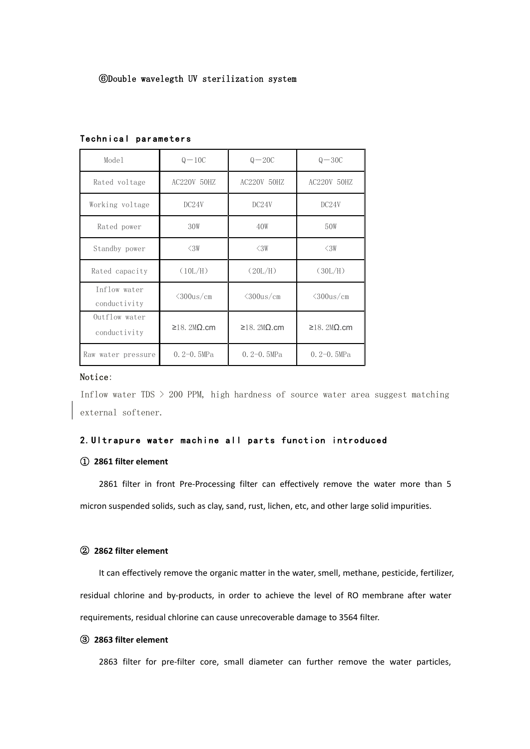| Model                         | $Q-10C$             | $Q - 20C$           | $Q - 30C$           |
|-------------------------------|---------------------|---------------------|---------------------|
| Rated voltage                 | AC220V 50HZ         | AC220V 50HZ         | AC220V 50HZ         |
| Working voltage               | DC24V               | DC24V               | DC24V               |
| Rated power                   | 30W                 | 40W                 | 50W                 |
| Standby power                 | $\triangle 3W$      | $\leq 3W$           | $\triangle 3W$      |
| Rated capacity                | (10L/H)             | (20L/H)             | (30L/H)             |
| Inflow water<br>conductivity  | $\langle 300$ us/cm | $\langle 300$ us/cm | $\langle 300$ us/cm |
| Outflow water<br>conductivity | $≥18$ . 2MΩ.cm      | $≥18$ . 2MΩ.cm      | $≥18$ . 2MΩ.cm      |
| Raw water pressure            | $0.2 - 0.5MPa$      | $0.2 - 0.5MPa$      | $0.2 - 0.5MPa$      |

#### Technical parameters

#### Notice:

Inflow water TDS  $>$  200 PPM, high hardness of source water area suggest matching external softener.

## 2.Ultrapure water machine all parts function introduced

## ① **2861 filter element**

2861 filter in front Pre-Processing filter can effectively remove the water more than 5 micron suspended solids, such as clay, sand, rust, lichen, etc, and other large solid impurities.

## ② **2862 filter element**

It can effectively remove the organic matter in the water, smell, methane, pesticide, fertilizer, residual chlorine and by-products, in order to achieve the level of RO membrane after water requirements, residual chlorine can cause unrecoverable damage to 3564 filter.

#### ③ **2863 filter element**

2863 filter for pre-filter core, small diameter can further remove the water particles,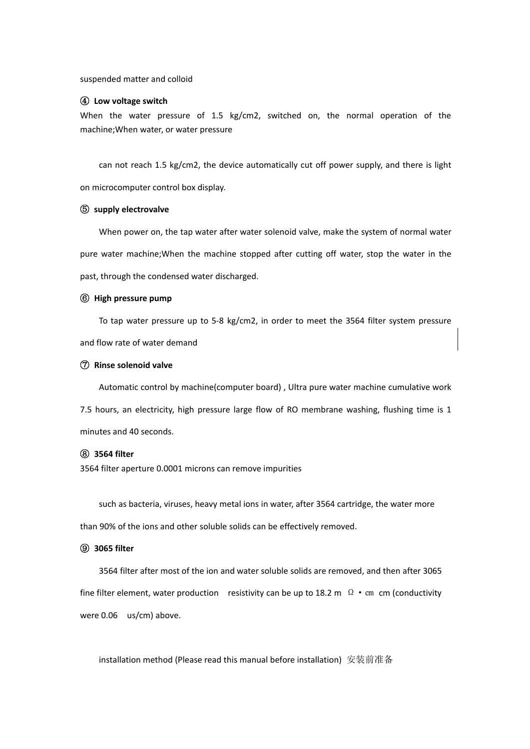suspended matter and colloid

#### ④ **Low voltage switch**

When the water pressure of 1.5 kg/cm2, switched on, the normal operation of the machine;When water, or water pressure

can not reach 1.5 kg/cm2, the device automatically cut off power supply, and there is light on microcomputer control box display.

#### ⑤ **supply electrovalve**

When power on, the tap water after water solenoid valve, make the system of normal water pure water machine;When the machine stopped after cutting off water, stop the water in the past, through the condensed water discharged.

#### ⑥ **High pressure pump**

To tap water pressure up to 5-8 kg/cm2, in order to meet the 3564 filter system pressure and flow rate of water demand

#### ⑦ **Rinse solenoid valve**

Automatic control by machine(computer board) , Ultra pure water machine cumulative work 7.5 hours, an electricity, high pressure large flow of RO membrane washing, flushing time is 1 minutes and 40 seconds.

# ⑧ **3564 filter**

3564 filter aperture 0.0001 microns can remove impurities

such as bacteria, viruses, heavy metal ions in water, after 3564 cartridge, the water more than 90% of the ions and other soluble solids can be effectively removed.

## ⑨ **3065 filter**

3564 filter after most of the ion and water soluble solids are removed, and then after 3065 fine filter element, water production resistivity can be up to 18.2 m  $\Omega \cdot cm$  cm (conductivity were 0.06 us/cm) above.

installation method (Please read this manual before installation) 安装前准备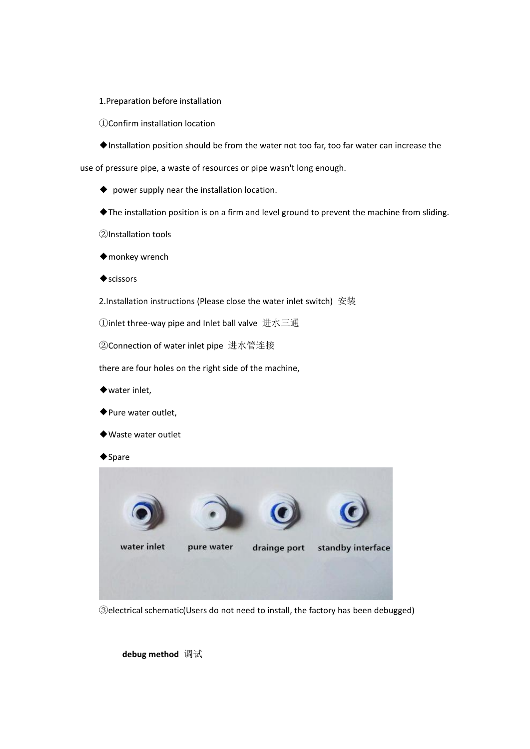1.Preparation before installation

①Confirm installation location

◆Installation position should be from the water not too far, too far water can increase the

use of pressure pipe, a waste of resources or pipe wasn't long enough.

- ◆ power supply near the installation location.
- ◆The installation position is on a firm and level ground to prevent the machine from sliding.

②Installation tools

- ◆monkey wrench
- ◆scissors

2.Installation instructions (Please close the water inlet switch) 安装

①inlet three-way pipe and Inlet ball valve 进水三通

②Connection of water inlet pipe 进水管连接

there are four holes on the right side of the machine,

- ◆water inlet,
- ◆Pure water outlet,
- ◆Waste water outlet
- ◆Spare



③electrical schematic(Users do not need to install, the factory has been debugged)

**debug method** 调试